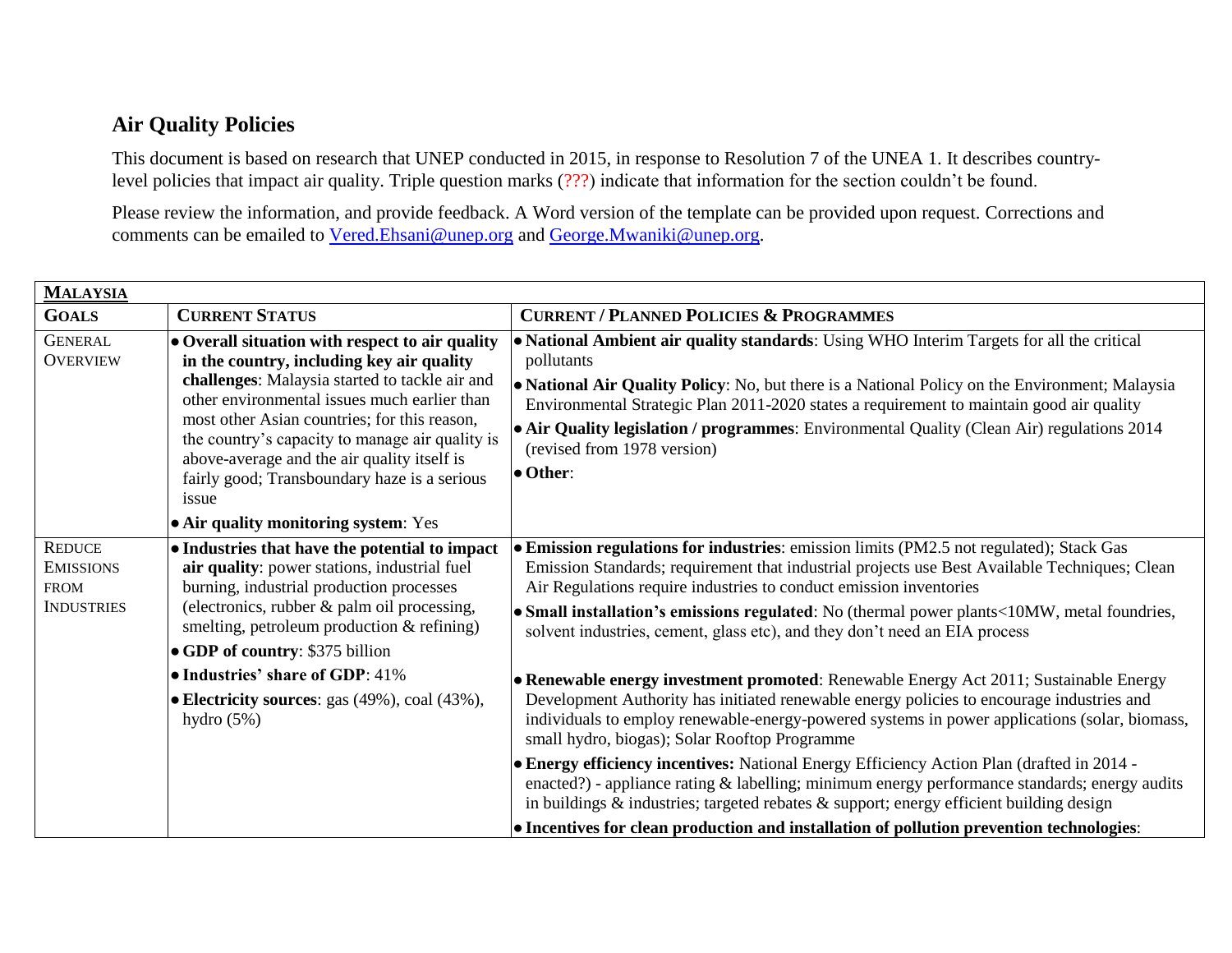## **Air Quality Policies**

This document is based on research that UNEP conducted in 2015, in response to Resolution 7 of the UNEA 1. It describes countrylevel policies that impact air quality. Triple question marks (???) indicate that information for the section couldn't be found.

Please review the information, and provide feedback. A Word version of the template can be provided upon request. Corrections and comments can be emailed to [Vered.Ehsani@unep.org](mailto:Vered.Ehsani@unep.org) and [George.Mwaniki@unep.org.](mailto:George.Mwaniki@unep.org)

| <b>MALAYSIA</b>                                                       |                                                                                                                                                                                                                                                                                                                                                                                                                                                   |                                                                                                                                                                                                                                                                                                                                                                                                                                                                                                                                                                                                                                           |  |
|-----------------------------------------------------------------------|---------------------------------------------------------------------------------------------------------------------------------------------------------------------------------------------------------------------------------------------------------------------------------------------------------------------------------------------------------------------------------------------------------------------------------------------------|-------------------------------------------------------------------------------------------------------------------------------------------------------------------------------------------------------------------------------------------------------------------------------------------------------------------------------------------------------------------------------------------------------------------------------------------------------------------------------------------------------------------------------------------------------------------------------------------------------------------------------------------|--|
| <b>GOALS</b>                                                          | <b>CURRENT STATUS</b>                                                                                                                                                                                                                                                                                                                                                                                                                             | <b>CURRENT / PLANNED POLICIES &amp; PROGRAMMES</b>                                                                                                                                                                                                                                                                                                                                                                                                                                                                                                                                                                                        |  |
| <b>GENERAL</b><br><b>OVERVIEW</b>                                     | • Overall situation with respect to air quality<br>in the country, including key air quality<br>challenges: Malaysia started to tackle air and<br>other environmental issues much earlier than<br>most other Asian countries; for this reason,<br>the country's capacity to manage air quality is<br>above-average and the air quality itself is<br>fairly good; Transboundary haze is a serious<br>issue<br>• Air quality monitoring system: Yes | • National Ambient air quality standards: Using WHO Interim Targets for all the critical<br>pollutants<br>• National Air Quality Policy: No, but there is a National Policy on the Environment; Malaysia<br>Environmental Strategic Plan 2011-2020 states a requirement to maintain good air quality<br>• Air Quality legislation / programmes: Environmental Quality (Clean Air) regulations 2014<br>(revised from 1978 version)<br>• Other:                                                                                                                                                                                             |  |
| <b>REDUCE</b><br><b>EMISSIONS</b><br><b>FROM</b><br><b>INDUSTRIES</b> | • Industries that have the potential to impact<br>air quality: power stations, industrial fuel<br>burning, industrial production processes<br>(electronics, rubber $\&$ palm oil processing,<br>smelting, petroleum production & refining)<br>• GDP of country: \$375 billion<br>• Industries' share of GDP: 41%                                                                                                                                  | • Emission regulations for industries: emission limits (PM2.5 not regulated); Stack Gas<br>Emission Standards; requirement that industrial projects use Best Available Techniques; Clean<br>Air Regulations require industries to conduct emission inventories<br>• Small installation's emissions regulated: No (thermal power plants<10MW, metal foundries,<br>solvent industries, cement, glass etc), and they don't need an EIA process<br>• Renewable energy investment promoted: Renewable Energy Act 2011; Sustainable Energy                                                                                                      |  |
|                                                                       | • Electricity sources: gas (49%), coal (43%),<br>hydro $(5%)$                                                                                                                                                                                                                                                                                                                                                                                     | Development Authority has initiated renewable energy policies to encourage industries and<br>individuals to employ renewable-energy-powered systems in power applications (solar, biomass,<br>small hydro, biogas); Solar Rooftop Programme<br>• Energy efficiency incentives: National Energy Efficiency Action Plan (drafted in 2014 -<br>enacted?) - appliance rating $\&$ labelling; minimum energy performance standards; energy audits<br>in buildings $\&$ industries; targeted rebates $\&$ support; energy efficient building design<br>• Incentives for clean production and installation of pollution prevention technologies: |  |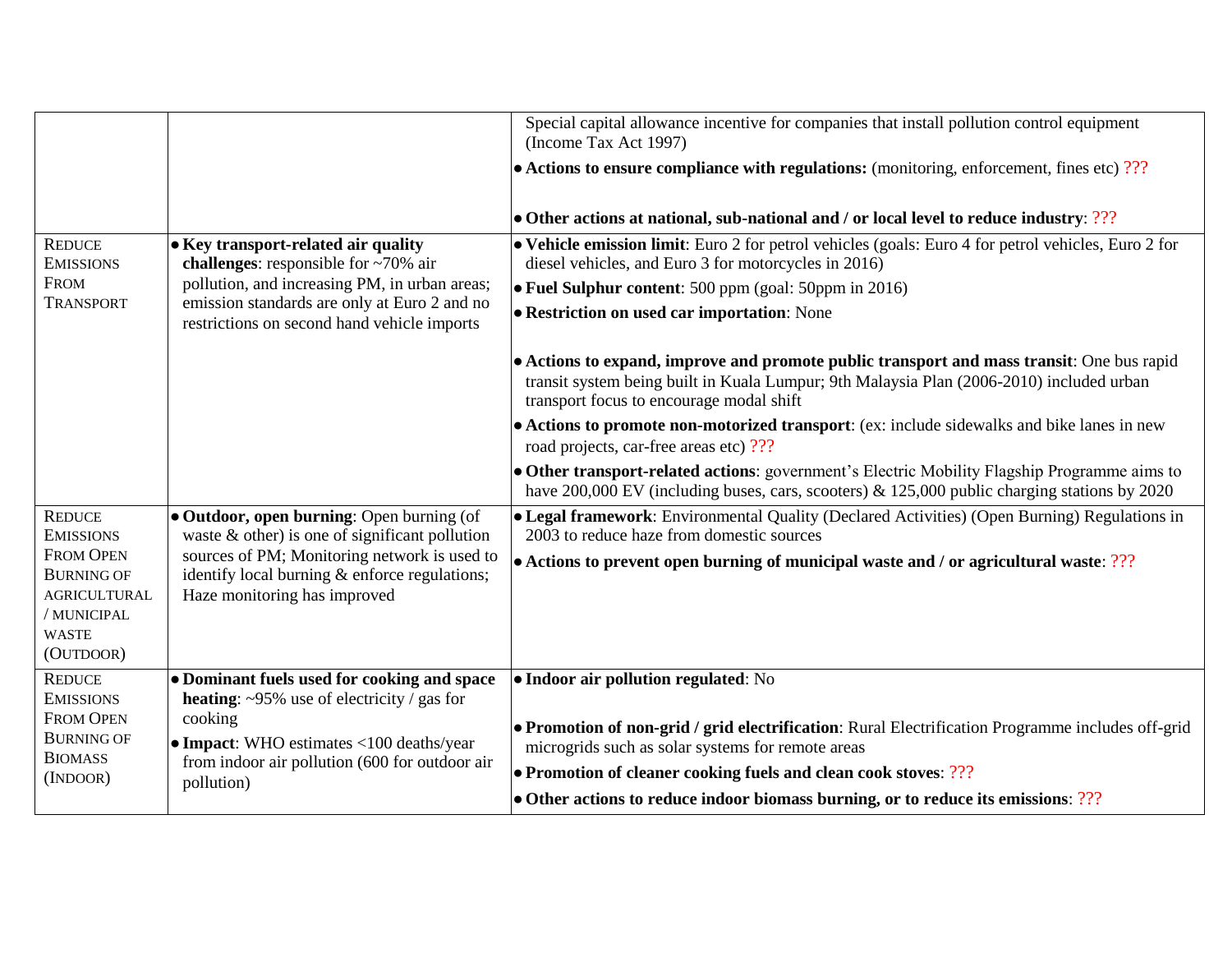|                                                                                                          |                                                                                                                               | Special capital allowance incentive for companies that install pollution control equipment<br>(Income Tax Act 1997)                                                                                                               |
|----------------------------------------------------------------------------------------------------------|-------------------------------------------------------------------------------------------------------------------------------|-----------------------------------------------------------------------------------------------------------------------------------------------------------------------------------------------------------------------------------|
|                                                                                                          |                                                                                                                               | $\bullet$ Actions to ensure compliance with regulations: (monitoring, enforcement, fines etc) ???                                                                                                                                 |
|                                                                                                          |                                                                                                                               | • Other actions at national, sub-national and / or local level to reduce industry: ???                                                                                                                                            |
| <b>REDUCE</b><br><b>EMISSIONS</b>                                                                        | • Key transport-related air quality<br>challenges: responsible for $\sim 70\%$ air                                            | • Vehicle emission limit: Euro 2 for petrol vehicles (goals: Euro 4 for petrol vehicles, Euro 2 for<br>diesel vehicles, and Euro 3 for motorcycles in 2016)                                                                       |
| <b>FROM</b>                                                                                              | pollution, and increasing PM, in urban areas;                                                                                 | • Fuel Sulphur content: 500 ppm (goal: 50ppm in 2016)                                                                                                                                                                             |
| <b>TRANSPORT</b>                                                                                         | emission standards are only at Euro 2 and no<br>restrictions on second hand vehicle imports                                   | • Restriction on used car importation: None                                                                                                                                                                                       |
|                                                                                                          |                                                                                                                               | • Actions to expand, improve and promote public transport and mass transit: One bus rapid<br>transit system being built in Kuala Lumpur; 9th Malaysia Plan (2006-2010) included urban<br>transport focus to encourage modal shift |
|                                                                                                          |                                                                                                                               | • Actions to promote non-motorized transport: (ex: include sidewalks and bike lanes in new<br>road projects, car-free areas etc) ???                                                                                              |
|                                                                                                          |                                                                                                                               | • Other transport-related actions: government's Electric Mobility Flagship Programme aims to<br>have $200,000$ EV (including buses, cars, scooters) & 125,000 public charging stations by 2020                                    |
| <b>REDUCE</b><br><b>EMISSIONS</b>                                                                        | • Outdoor, open burning: Open burning (of<br>waste $\&$ other) is one of significant pollution                                | • Legal framework: Environmental Quality (Declared Activities) (Open Burning) Regulations in<br>2003 to reduce haze from domestic sources                                                                                         |
| <b>FROM OPEN</b><br><b>BURNING OF</b><br><b>AGRICULTURAL</b><br>/ MUNICIPAL<br><b>WASTE</b><br>(OUTDOOR) | sources of PM; Monitoring network is used to<br>identify local burning & enforce regulations;<br>Haze monitoring has improved | • Actions to prevent open burning of municipal waste and / or agricultural waste: ???                                                                                                                                             |
| <b>REDUCE</b><br><b>EMISSIONS</b>                                                                        | • Dominant fuels used for cooking and space<br><b>heating:</b> $\sim$ 95% use of electricity / gas for                        | • Indoor air pollution regulated: No                                                                                                                                                                                              |
| <b>FROM OPEN</b><br><b>BURNING OF</b><br><b>BIOMASS</b>                                                  | cooking<br>• Impact: WHO estimates <100 deaths/year                                                                           | • Promotion of non-grid / grid electrification: Rural Electrification Programme includes off-grid<br>microgrids such as solar systems for remote areas                                                                            |
| (INDOOR)                                                                                                 | from indoor air pollution (600 for outdoor air<br>pollution)                                                                  | • Promotion of cleaner cooking fuels and clean cook stoves: ???                                                                                                                                                                   |
|                                                                                                          |                                                                                                                               | • Other actions to reduce indoor biomass burning, or to reduce its emissions: ???                                                                                                                                                 |